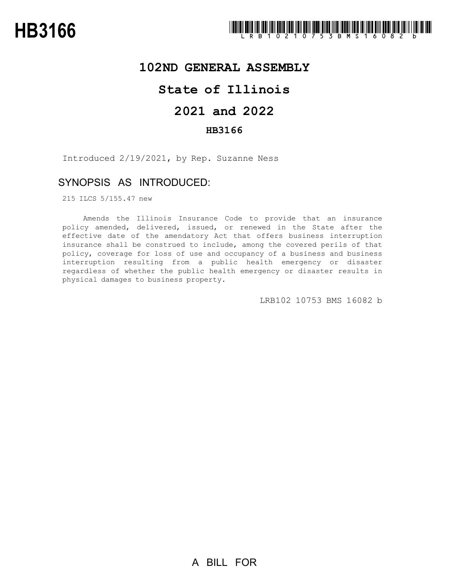### **102ND GENERAL ASSEMBLY**

## **State of Illinois**

## **2021 and 2022**

#### **HB3166**

Introduced 2/19/2021, by Rep. Suzanne Ness

## SYNOPSIS AS INTRODUCED:

215 ILCS 5/155.47 new

Amends the Illinois Insurance Code to provide that an insurance policy amended, delivered, issued, or renewed in the State after the effective date of the amendatory Act that offers business interruption insurance shall be construed to include, among the covered perils of that policy, coverage for loss of use and occupancy of a business and business interruption resulting from a public health emergency or disaster regardless of whether the public health emergency or disaster results in physical damages to business property.

LRB102 10753 BMS 16082 b